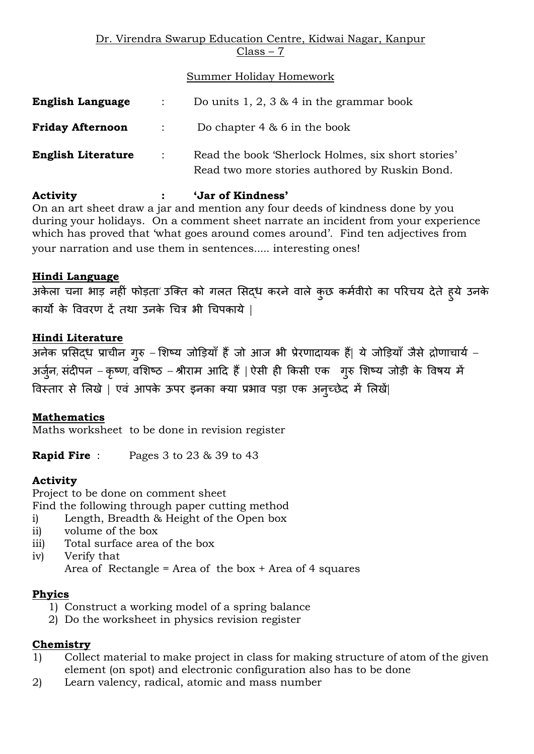#### Dr. Virendra Swarup Education Centre, Kidwai Nagar, Kanpur Class – 7

Summer Holiday Homework

| <b>English Language</b>   |                            | Do units 1, 2, 3 $\&$ 4 in the grammar book                                                          |
|---------------------------|----------------------------|------------------------------------------------------------------------------------------------------|
| <b>Friday Afternoon</b>   | $\mathcal{L}(\mathcal{L})$ | Do chapter $4 \& 6$ in the book                                                                      |
| <b>English Literature</b> | $\sim$ 100 $\sim$          | Read the book 'Sherlock Holmes, six short stories'<br>Read two more stories authored by Ruskin Bond. |

### **Activity : 'Jar of Kindness'**

On an art sheet draw a jar and mention any four deeds of kindness done by you during your holidays. On a comment sheet narrate an incident from your experience which has proved that 'what goes around comes around'. Find ten adjectives from your narration and use them in sentences..... interesting ones!

# **Hindi Language**

अकेला चना भाड़ नहीं फोड़ता' उक्ति को गलत सिद्ध करने वाले कुछ कर्मवीरो का परिचय देते हुये उनके कायो के वववरण दें तथा उनके चचत्र भी चचपकाये |

# **Hindi Literature**

अनेक प्रसिद्ध प्राचीन गुरु – शिष्य जोड़ियाँ हैं जो आज भी प्रेरणादायक हैं| ये जोड़ियाँ जैसे द्रोणाचार्य – अर्जुन, संदीपन – कृष्ण, वशिष्ठ – श्रीराम आदि हैं | ऐसी ही किसी एक गुरु शिष्य जोड़ी के विषय में विस्तार से लिखे | एवं आपके ऊपर इनका क्या प्रभाव पड़ा एक अनुच्छेद में लिखें|

### **Mathematics**

Maths worksheet to be done in revision register

**Rapid Fire** : Pages 3 to 23 & 39 to 43

### **Activity**

Project to be done on comment sheet Find the following through paper cutting method

- i) Length, Breadth & Height of the Open box
- ii) volume of the box
- iii) Total surface area of the box
- iv) Verify that

Area of Rectangle = Area of the box  $+$  Area of 4 squares

### **Phyics**

- 1) Construct a working model of a spring balance
- 2) Do the worksheet in physics revision register

### **Chemistry**

- 1) Collect material to make project in class for making structure of atom of the given element (on spot) and electronic configuration also has to be done
- 2) Learn valency, radical, atomic and mass number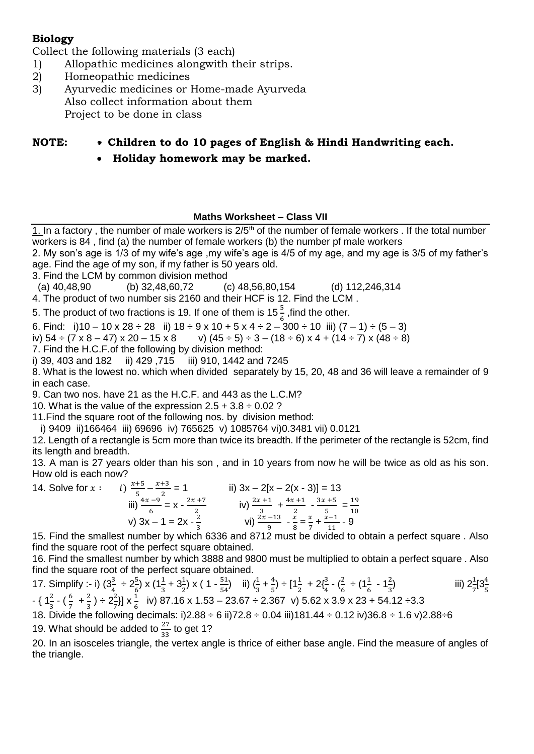#### **Biology**

Collect the following materials (3 each)

- 1) Allopathic medicines alongwith their strips.
- 2) Homeopathic medicines
- 3) Ayurvedic medicines or Home-made Ayurveda Also collect information about them Project to be done in class

# **NOTE: \* Children to do 10 pages of English & Hindi Handwriting each.**

**Holiday homework may be marked.**

#### **Maths Worksheet – Class VII**

1. In a factory, the number of male workers is  $2/5<sup>th</sup>$  of the number of female workers. If the total number workers is 84 , find (a) the number of female workers (b) the number pf male workers 2. My son's age is 1/3 of my wife's age ,my wife's age is 4/5 of my age, and my age is 3/5 of my father's age. Find the age of my son, if my father is 50 years old. 3. Find the LCM by common division method (a) 40,48,90 (b) 32,48,60,72 (c) 48,56,80,154 (d) 112,246,314

4. The product of two number sis 2160 and their HCF is 12. Find the LCM .

5. The product of two fractions is 19. If one of them is 15  $\frac{5}{6}$  ,find the other.

6. Find: i)10 – 10 x 28 ÷ 28 ii) 18 ÷ 9 x 10 + 5 x 4 ÷ 2 – 300 ÷ 10 iii)  $(7 - 1) \div (5 - 3)$ 

iv)  $54 \div (7 \times 8 - 47) \times 20 - 15 \times 8$  v)  $(45 \div 5) \div 3 - (18 \div 6) \times 4 + (14 \div 7) \times (48 \div 8)$ 

7. Find the H.C.F.of the following by division method:

i) 39, 403 and 182 ii) 429 ,715 iii) 910, 1442 and 7245

8. What is the lowest no. which when divided separately by 15, 20, 48 and 36 will leave a remainder of 9 in each case.

9. Can two nos. have 21 as the H.C.F. and 443 as the L.C.M?

10. What is the value of the expression  $2.5 + 3.8 \div 0.02$ ?

11.Find the square root of the following nos. by division method:

i) 9409 ii)166464 iii) 69696 iv) 765625 v) 1085764 vi)0.3481 vii) 0.0121

12. Length of a rectangle is 5cm more than twice its breadth. If the perimeter of the rectangle is 52cm, find its length and breadth.

13. A man is 27 years older than his son , and in 10 years from now he will be twice as old as his son. How old is each now?

14. Solve for  $x :$  $x+5$  $\frac{+5}{5} - \frac{x+3}{2}$  $\frac{+3}{2}$  = 1 ii) 3x – 2[x – 2(x - 3)] = 13 iii)  $\frac{4x-9}{6} = x - \frac{2x+7}{2}$  $\frac{x+7}{2}$  iv)  $\frac{2x+1}{3}$  +  $\frac{4x+1}{2}$  $rac{x+1}{2} - \frac{3x+5}{5}$  $\frac{x+5}{5} = \frac{19}{10}$ 10 v)  $3x - 1 = 2x - \frac{2}{3}$  $\frac{2}{3}$  vi)  $\frac{2x-13}{9}$  -  $\frac{x}{8}$  $\frac{x}{8} = \frac{x}{7}$  $\frac{x}{7} + \frac{x-1}{11}$  $\frac{1}{11}$  - 9

15. Find the smallest number by which 6336 and 8712 must be divided to obtain a perfect square . Also find the square root of the perfect square obtained.

16. Find the smallest number by which 3888 and 9800 must be multiplied to obtain a perfect square . Also find the square root of the perfect square obtained.

17. Simplify :- i)  $(3\frac{3}{4} \div 2\frac{5}{6}) \times (1\frac{1}{3} + 3\frac{1}{2}) \times (1 - \frac{51}{54})$  $\frac{51}{54}$ ) ii)  $\left(\frac{1}{3} + \frac{4}{5}\right)$  $\frac{4}{5}$ ) ÷ [1 $\frac{1}{2}$  + 2 $\{\frac{3}{4} \cdot \left(\frac{2}{6}\right)\}$  $\frac{2}{6} \div (1\frac{1}{6} - 1\frac{2}{3})$  $\frac{2}{3}$ ) iii)  $2\frac{1}{7}$  $\frac{1}{7}$ [3 $\frac{4}{5}$ ]  $-\{\frac{1}{3}-(\frac{6}{7}+\frac{2}{3})\}$  $\frac{2}{3}$ )  $\div$  2 $\frac{2}{7}$ ] x  $\frac{1}{6}$  iv) 87.16 x 1.53 – 23.67  $\div$  2.367 v) 5.62 x 3.9 x 23 + 54.12  $\div$ 3.3 18. Divide the following decimals: i)2.88 ÷ 6 ii)72.8 ÷ 0.04 iii)181.44 ÷ 0.12 iv)36.8 ÷ 1.6 v)2.88÷6

19. What should be added to  $\frac{27}{33}$  to get 1?

20. In an isosceles triangle, the vertex angle is thrice of either base angle. Find the measure of angles of the triangle.